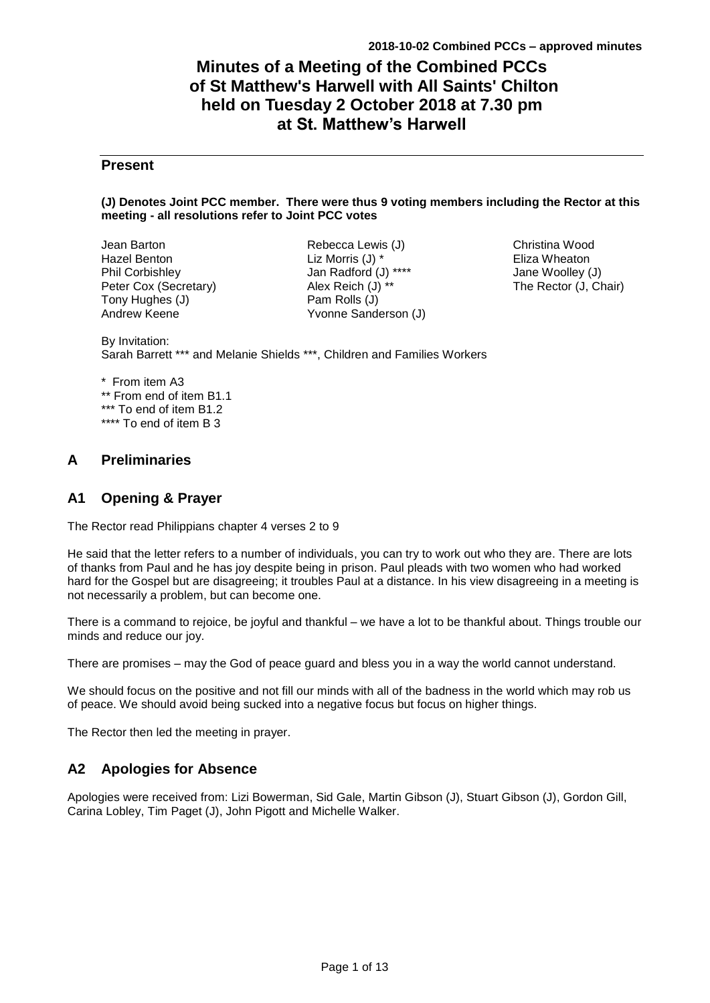# **Minutes of a Meeting of the Combined PCCs of St Matthew's Harwell with All Saints' Chilton held on Tuesday 2 October 2018 at 7.30 pm at St. Matthew's Harwell**

## **Present**

#### **(J) Denotes Joint PCC member. There were thus 9 voting members including the Rector at this meeting - all resolutions refer to Joint PCC votes**

Jean Barton Hazel Benton Phil Corbishley Peter Cox (Secretary) Tony Hughes (J) Andrew Keene

Rebecca Lewis (J) Liz Morris (J) \* Jan Radford (J) \*\*\*\* Alex Reich (J) \*\* Pam Rolls (J) Yvonne Sanderson (J)

Christina Wood Eliza Wheaton Jane Woolley (J) The Rector (J, Chair)

By Invitation: Sarah Barrett \*\*\* and Melanie Shields \*\*\*, Children and Families Workers

\* From item A3 \*\* From end of item B1.1 \*\*\* To end of item B1.2 \*\*\*\* To end of item B 3

## **A Preliminaries**

## **A1 Opening & Prayer**

The Rector read Philippians chapter 4 verses 2 to 9

He said that the letter refers to a number of individuals, you can try to work out who they are. There are lots of thanks from Paul and he has joy despite being in prison. Paul pleads with two women who had worked hard for the Gospel but are disagreeing; it troubles Paul at a distance. In his view disagreeing in a meeting is not necessarily a problem, but can become one.

There is a command to rejoice, be joyful and thankful – we have a lot to be thankful about. Things trouble our minds and reduce our joy.

There are promises – may the God of peace guard and bless you in a way the world cannot understand.

We should focus on the positive and not fill our minds with all of the badness in the world which may rob us of peace. We should avoid being sucked into a negative focus but focus on higher things.

The Rector then led the meeting in prayer.

## **A2 Apologies for Absence**

Apologies were received from: Lizi Bowerman, Sid Gale, Martin Gibson (J), Stuart Gibson (J), Gordon Gill, Carina Lobley, Tim Paget (J), John Pigott and Michelle Walker.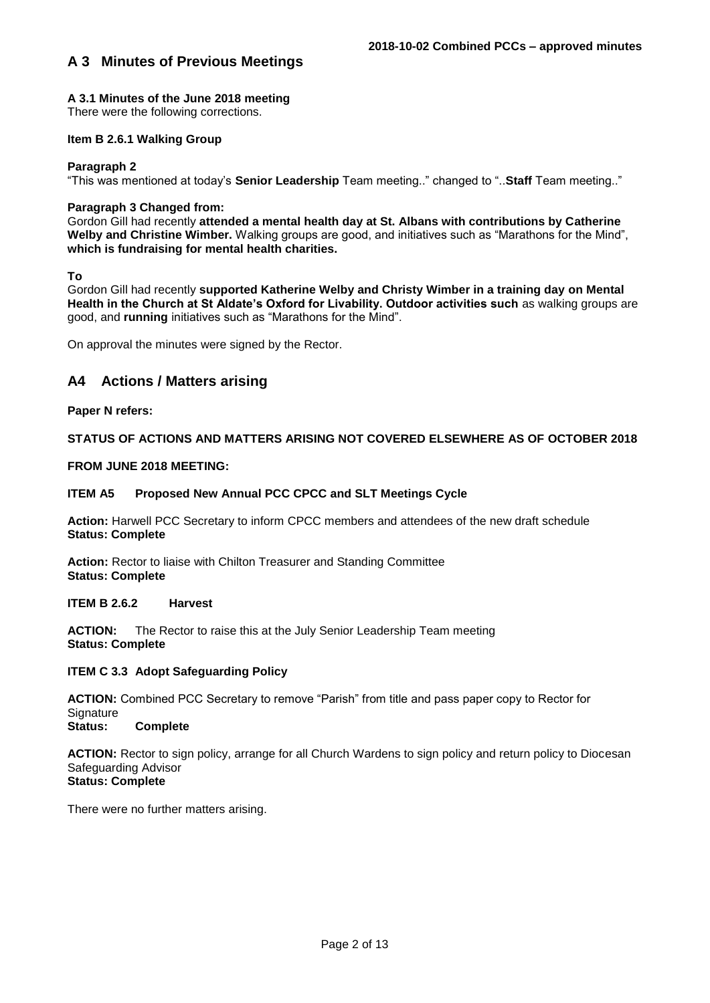## **A 3.1 Minutes of the June 2018 meeting**

There were the following corrections.

### **Item B 2.6.1 Walking Group**

#### **Paragraph 2**

"This was mentioned at today's **Senior Leadership** Team meeting.." changed to "..**Staff** Team meeting.."

### **Paragraph 3 Changed from:**

Gordon Gill had recently **attended a mental health day at St. Albans with contributions by Catherine Welby and Christine Wimber.** Walking groups are good, and initiatives such as "Marathons for the Mind", **which is fundraising for mental health charities.** 

**To** 

Gordon Gill had recently **supported Katherine Welby and Christy Wimber in a training day on Mental Health in the Church at St Aldate's Oxford for Livability. Outdoor activities such** as walking groups are good, and **running** initiatives such as "Marathons for the Mind".

On approval the minutes were signed by the Rector.

## **A4 Actions / Matters arising**

#### **Paper N refers:**

## **STATUS OF ACTIONS AND MATTERS ARISING NOT COVERED ELSEWHERE AS OF OCTOBER 2018**

### **FROM JUNE 2018 MEETING:**

#### **ITEM A5 Proposed New Annual PCC CPCC and SLT Meetings Cycle**

**Action:** Harwell PCC Secretary to inform CPCC members and attendees of the new draft schedule **Status: Complete**

**Action:** Rector to liaise with Chilton Treasurer and Standing Committee **Status: Complete**

#### **ITEM B 2.6.2 Harvest**

**ACTION:** The Rector to raise this at the July Senior Leadership Team meeting **Status: Complete**

#### **ITEM C 3.3 Adopt Safeguarding Policy**

**ACTION:** Combined PCC Secretary to remove "Parish" from title and pass paper copy to Rector for Signature<br>Status:

**Status: Complete**

**ACTION:** Rector to sign policy, arrange for all Church Wardens to sign policy and return policy to Diocesan Safeguarding Advisor **Status: Complete**

There were no further matters arising.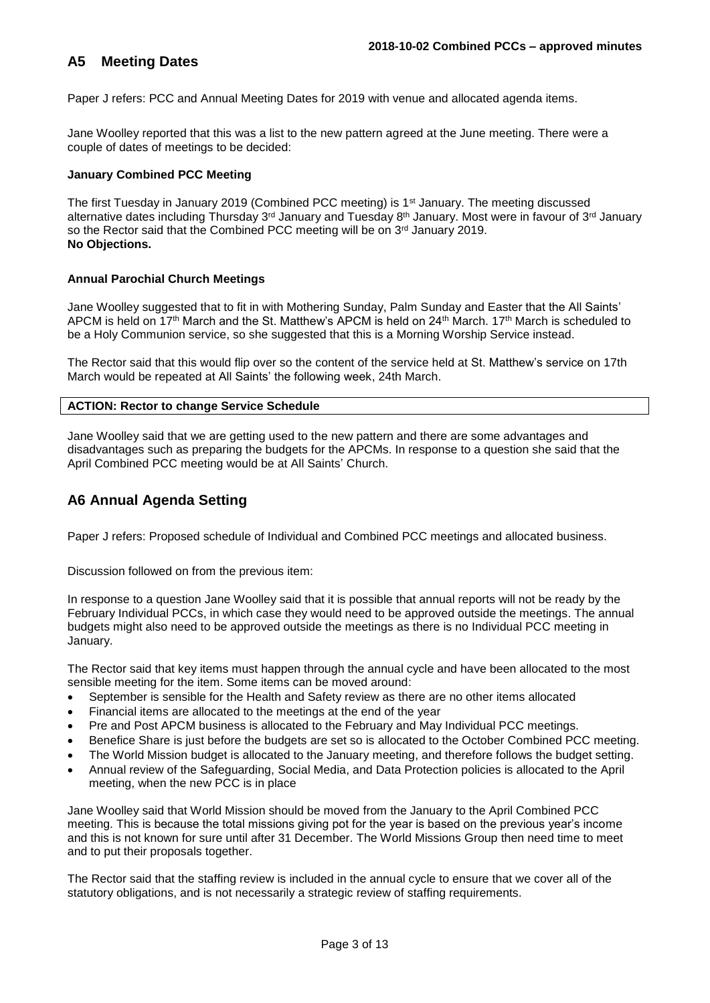## **A5 Meeting Dates**

Paper J refers: PCC and Annual Meeting Dates for 2019 with venue and allocated agenda items.

Jane Woolley reported that this was a list to the new pattern agreed at the June meeting. There were a couple of dates of meetings to be decided:

#### **January Combined PCC Meeting**

The first Tuesday in January 2019 (Combined PCC meeting) is 1<sup>st</sup> January. The meeting discussed alternative dates including Thursday 3<sup>rd</sup> January and Tuesday 8<sup>th</sup> January. Most were in favour of 3<sup>rd</sup> January so the Rector said that the Combined PCC meeting will be on 3rd January 2019. **No Objections.** 

## **Annual Parochial Church Meetings**

Jane Woolley suggested that to fit in with Mothering Sunday, Palm Sunday and Easter that the All Saints' APCM is held on 17<sup>th</sup> March and the St. Matthew's APCM is held on 24<sup>th</sup> March. 17<sup>th</sup> March is scheduled to be a Holy Communion service, so she suggested that this is a Morning Worship Service instead.

The Rector said that this would flip over so the content of the service held at St. Matthew's service on 17th March would be repeated at All Saints' the following week, 24th March.

#### **ACTION: Rector to change Service Schedule**

Jane Woolley said that we are getting used to the new pattern and there are some advantages and disadvantages such as preparing the budgets for the APCMs. In response to a question she said that the April Combined PCC meeting would be at All Saints' Church.

## **A6 Annual Agenda Setting**

Paper J refers: Proposed schedule of Individual and Combined PCC meetings and allocated business.

Discussion followed on from the previous item:

In response to a question Jane Woolley said that it is possible that annual reports will not be ready by the February Individual PCCs, in which case they would need to be approved outside the meetings. The annual budgets might also need to be approved outside the meetings as there is no Individual PCC meeting in January.

The Rector said that key items must happen through the annual cycle and have been allocated to the most sensible meeting for the item. Some items can be moved around:

- September is sensible for the Health and Safety review as there are no other items allocated
- Financial items are allocated to the meetings at the end of the year
- Pre and Post APCM business is allocated to the February and May Individual PCC meetings.
- Benefice Share is just before the budgets are set so is allocated to the October Combined PCC meeting.
- The World Mission budget is allocated to the January meeting, and therefore follows the budget setting.
- Annual review of the Safeguarding, Social Media, and Data Protection policies is allocated to the April meeting, when the new PCC is in place

Jane Woolley said that World Mission should be moved from the January to the April Combined PCC meeting. This is because the total missions giving pot for the year is based on the previous year's income and this is not known for sure until after 31 December. The World Missions Group then need time to meet and to put their proposals together.

The Rector said that the staffing review is included in the annual cycle to ensure that we cover all of the statutory obligations, and is not necessarily a strategic review of staffing requirements.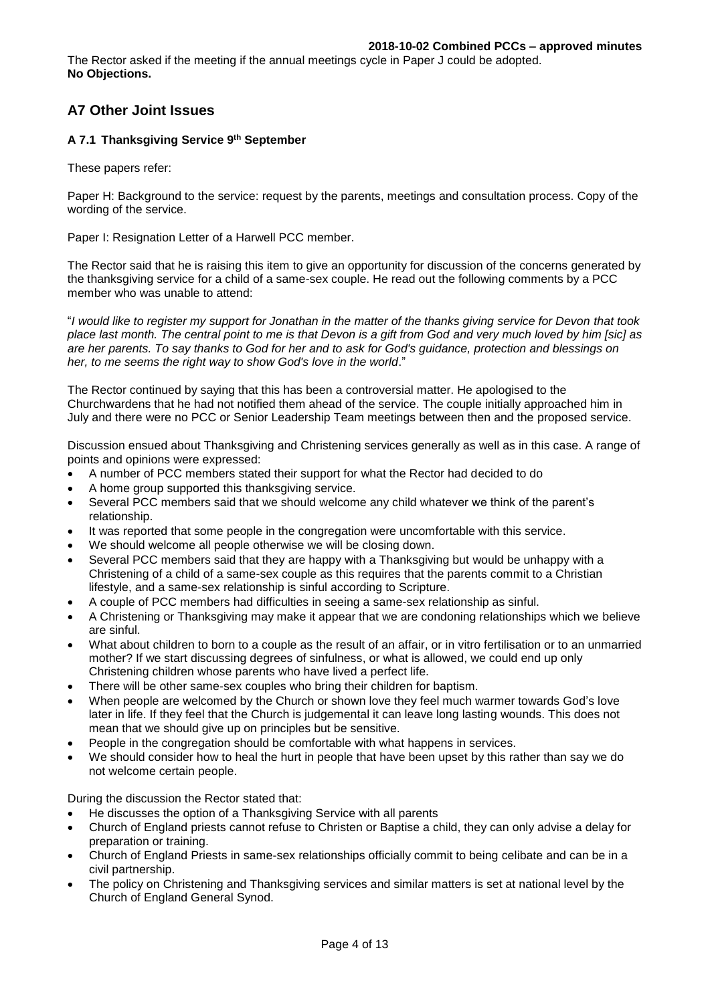The Rector asked if the meeting if the annual meetings cycle in Paper J could be adopted. **No Objections.** 

## **A7 Other Joint Issues**

## **A 7.1 Thanksgiving Service 9th September**

These papers refer:

Paper H: Background to the service: request by the parents, meetings and consultation process. Copy of the wording of the service.

Paper I: Resignation Letter of a Harwell PCC member.

The Rector said that he is raising this item to give an opportunity for discussion of the concerns generated by the thanksgiving service for a child of a same-sex couple. He read out the following comments by a PCC member who was unable to attend:

"*I would like to register my support for Jonathan in the matter of the thanks giving service for Devon that took place last month. The central point to me is that Devon is a gift from God and very much loved by him [sic] as are her parents. To say thanks to God for her and to ask for God's guidance, protection and blessings on her, to me seems the right way to show God's love in the world*."

The Rector continued by saying that this has been a controversial matter. He apologised to the Churchwardens that he had not notified them ahead of the service. The couple initially approached him in July and there were no PCC or Senior Leadership Team meetings between then and the proposed service.

Discussion ensued about Thanksgiving and Christening services generally as well as in this case. A range of points and opinions were expressed:

- A number of PCC members stated their support for what the Rector had decided to do
- A home group supported this thanksgiving service.
- Several PCC members said that we should welcome any child whatever we think of the parent's relationship.
- It was reported that some people in the congregation were uncomfortable with this service.
- We should welcome all people otherwise we will be closing down.
- Several PCC members said that they are happy with a Thanksgiving but would be unhappy with a Christening of a child of a same-sex couple as this requires that the parents commit to a Christian lifestyle, and a same-sex relationship is sinful according to Scripture.
- A couple of PCC members had difficulties in seeing a same-sex relationship as sinful.
- A Christening or Thanksgiving may make it appear that we are condoning relationships which we believe are sinful.
- What about children to born to a couple as the result of an affair, or in vitro fertilisation or to an unmarried mother? If we start discussing degrees of sinfulness, or what is allowed, we could end up only Christening children whose parents who have lived a perfect life.
- There will be other same-sex couples who bring their children for baptism.
- When people are welcomed by the Church or shown love they feel much warmer towards God's love later in life. If they feel that the Church is judgemental it can leave long lasting wounds. This does not mean that we should give up on principles but be sensitive.
- People in the congregation should be comfortable with what happens in services.
- We should consider how to heal the hurt in people that have been upset by this rather than say we do not welcome certain people.

During the discussion the Rector stated that:

- He discusses the option of a Thanksgiving Service with all parents
- Church of England priests cannot refuse to Christen or Baptise a child, they can only advise a delay for preparation or training.
- Church of England Priests in same-sex relationships officially commit to being celibate and can be in a civil partnership.
- The policy on Christening and Thanksgiving services and similar matters is set at national level by the Church of England General Synod.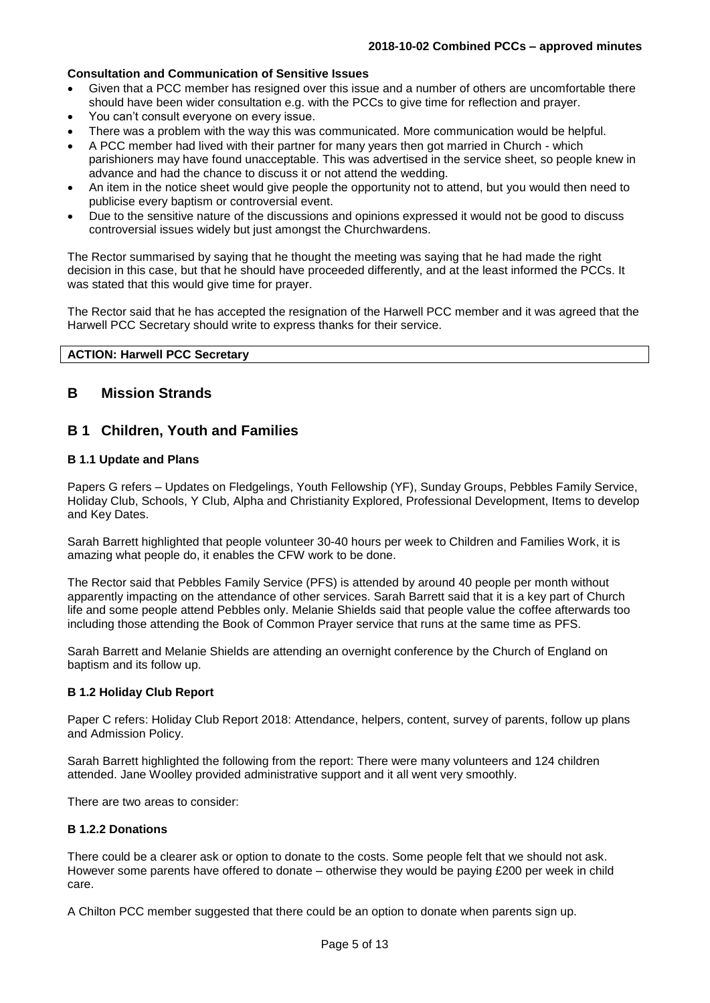#### **Consultation and Communication of Sensitive Issues**

- Given that a PCC member has resigned over this issue and a number of others are uncomfortable there should have been wider consultation e.g. with the PCCs to give time for reflection and prayer.
- You can't consult everyone on every issue.
- There was a problem with the way this was communicated. More communication would be helpful.
- A PCC member had lived with their partner for many years then got married in Church which parishioners may have found unacceptable. This was advertised in the service sheet, so people knew in advance and had the chance to discuss it or not attend the wedding.
- An item in the notice sheet would give people the opportunity not to attend, but you would then need to publicise every baptism or controversial event.
- Due to the sensitive nature of the discussions and opinions expressed it would not be good to discuss controversial issues widely but just amongst the Churchwardens.

The Rector summarised by saying that he thought the meeting was saying that he had made the right decision in this case, but that he should have proceeded differently, and at the least informed the PCCs. It was stated that this would give time for prayer.

The Rector said that he has accepted the resignation of the Harwell PCC member and it was agreed that the Harwell PCC Secretary should write to express thanks for their service.

#### **ACTION: Harwell PCC Secretary**

## **B Mission Strands**

## **B 1 Children, Youth and Families**

### **B 1.1 Update and Plans**

Papers G refers – Updates on Fledgelings, Youth Fellowship (YF), Sunday Groups, Pebbles Family Service, Holiday Club, Schools, Y Club, Alpha and Christianity Explored, Professional Development, Items to develop and Key Dates.

Sarah Barrett highlighted that people volunteer 30-40 hours per week to Children and Families Work, it is amazing what people do, it enables the CFW work to be done.

The Rector said that Pebbles Family Service (PFS) is attended by around 40 people per month without apparently impacting on the attendance of other services. Sarah Barrett said that it is a key part of Church life and some people attend Pebbles only. Melanie Shields said that people value the coffee afterwards too including those attending the Book of Common Prayer service that runs at the same time as PFS.

Sarah Barrett and Melanie Shields are attending an overnight conference by the Church of England on baptism and its follow up.

#### **B 1.2 Holiday Club Report**

Paper C refers: Holiday Club Report 2018: Attendance, helpers, content, survey of parents, follow up plans and Admission Policy.

Sarah Barrett highlighted the following from the report: There were many volunteers and 124 children attended. Jane Woolley provided administrative support and it all went very smoothly.

There are two areas to consider:

#### **B 1.2.2 Donations**

There could be a clearer ask or option to donate to the costs. Some people felt that we should not ask. However some parents have offered to donate – otherwise they would be paying £200 per week in child care.

A Chilton PCC member suggested that there could be an option to donate when parents sign up.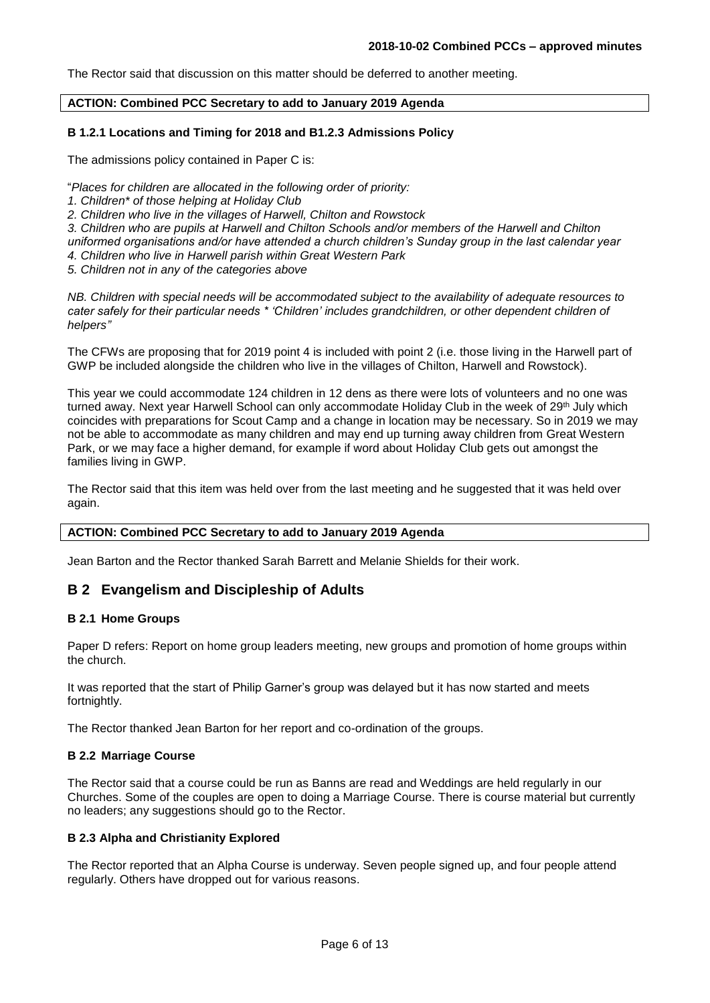The Rector said that discussion on this matter should be deferred to another meeting.

#### **ACTION: Combined PCC Secretary to add to January 2019 Agenda**

#### **B 1.2.1 Locations and Timing for 2018 and B1.2.3 Admissions Policy**

The admissions policy contained in Paper C is:

- "*Places for children are allocated in the following order of priority:*
- *1. Children\* of those helping at Holiday Club*
- *2. Children who live in the villages of Harwell, Chilton and Rowstock*

*3. Children who are pupils at Harwell and Chilton Schools and/or members of the Harwell and Chilton* 

*uniformed organisations and/or have attended a church children's Sunday group in the last calendar year* 

- *4. Children who live in Harwell parish within Great Western Park*
- *5. Children not in any of the categories above*

*NB. Children with special needs will be accommodated subject to the availability of adequate resources to cater safely for their particular needs \* 'Children' includes grandchildren, or other dependent children of helpers"*

The CFWs are proposing that for 2019 point 4 is included with point 2 (i.e. those living in the Harwell part of GWP be included alongside the children who live in the villages of Chilton, Harwell and Rowstock).

This year we could accommodate 124 children in 12 dens as there were lots of volunteers and no one was turned away. Next year Harwell School can only accommodate Holiday Club in the week of 29<sup>th</sup> July which coincides with preparations for Scout Camp and a change in location may be necessary. So in 2019 we may not be able to accommodate as many children and may end up turning away children from Great Western Park, or we may face a higher demand, for example if word about Holiday Club gets out amongst the families living in GWP.

The Rector said that this item was held over from the last meeting and he suggested that it was held over again.

#### **ACTION: Combined PCC Secretary to add to January 2019 Agenda**

Jean Barton and the Rector thanked Sarah Barrett and Melanie Shields for their work.

## **B 2 Evangelism and Discipleship of Adults**

#### **B 2.1 Home Groups**

Paper D refers: Report on home group leaders meeting, new groups and promotion of home groups within the church.

It was reported that the start of Philip Garner's group was delayed but it has now started and meets fortnightly.

The Rector thanked Jean Barton for her report and co-ordination of the groups.

#### **B 2.2 Marriage Course**

The Rector said that a course could be run as Banns are read and Weddings are held regularly in our Churches. Some of the couples are open to doing a Marriage Course. There is course material but currently no leaders; any suggestions should go to the Rector.

#### **B 2.3 Alpha and Christianity Explored**

The Rector reported that an Alpha Course is underway. Seven people signed up, and four people attend regularly. Others have dropped out for various reasons.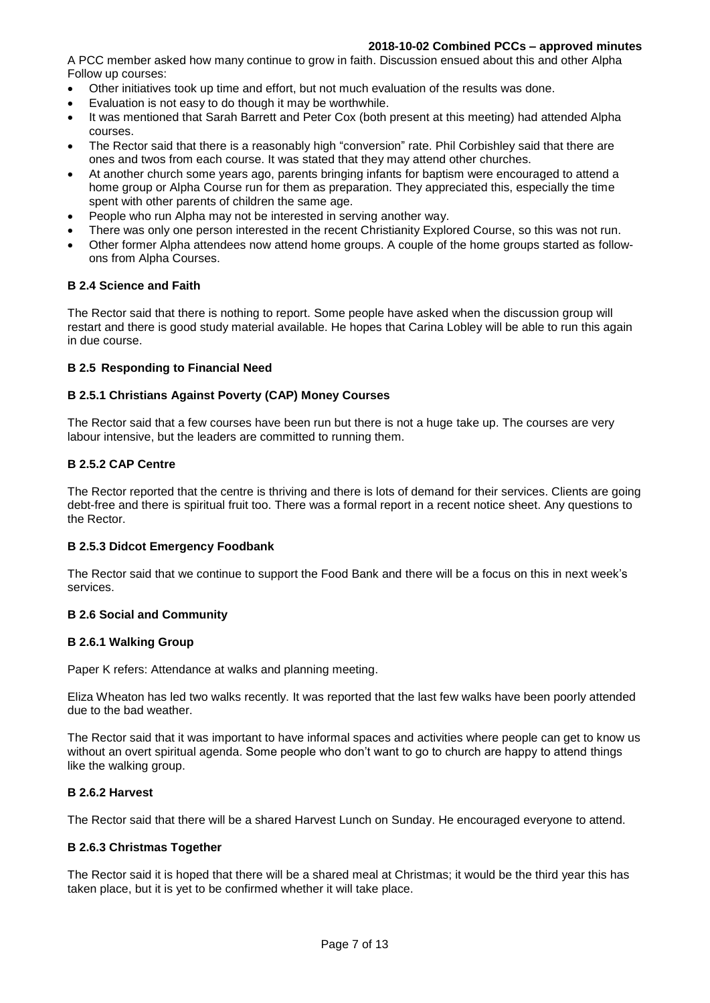#### **2018-10-02 Combined PCCs – approved minutes**

A PCC member asked how many continue to grow in faith. Discussion ensued about this and other Alpha Follow up courses:

- Other initiatives took up time and effort, but not much evaluation of the results was done.
- Evaluation is not easy to do though it may be worthwhile.
- It was mentioned that Sarah Barrett and Peter Cox (both present at this meeting) had attended Alpha courses.
- The Rector said that there is a reasonably high "conversion" rate. Phil Corbishley said that there are ones and twos from each course. It was stated that they may attend other churches.
- At another church some years ago, parents bringing infants for baptism were encouraged to attend a home group or Alpha Course run for them as preparation. They appreciated this, especially the time spent with other parents of children the same age.
- People who run Alpha may not be interested in serving another way.
- There was only one person interested in the recent Christianity Explored Course, so this was not run.
- Other former Alpha attendees now attend home groups. A couple of the home groups started as followons from Alpha Courses.

#### **B 2.4 Science and Faith**

The Rector said that there is nothing to report. Some people have asked when the discussion group will restart and there is good study material available. He hopes that Carina Lobley will be able to run this again in due course.

#### **B 2.5 Responding to Financial Need**

## **B 2.5.1 Christians Against Poverty (CAP) Money Courses**

The Rector said that a few courses have been run but there is not a huge take up. The courses are very labour intensive, but the leaders are committed to running them.

### **B 2.5.2 CAP Centre**

The Rector reported that the centre is thriving and there is lots of demand for their services. Clients are going debt-free and there is spiritual fruit too. There was a formal report in a recent notice sheet. Any questions to the Rector.

#### **B 2.5.3 Didcot Emergency Foodbank**

The Rector said that we continue to support the Food Bank and there will be a focus on this in next week's services.

## **B 2.6 Social and Community**

#### **B 2.6.1 Walking Group**

Paper K refers: Attendance at walks and planning meeting.

Eliza Wheaton has led two walks recently. It was reported that the last few walks have been poorly attended due to the bad weather.

The Rector said that it was important to have informal spaces and activities where people can get to know us without an overt spiritual agenda. Some people who don't want to go to church are happy to attend things like the walking group.

#### **B 2.6.2 Harvest**

The Rector said that there will be a shared Harvest Lunch on Sunday. He encouraged everyone to attend.

#### **B 2.6.3 Christmas Together**

The Rector said it is hoped that there will be a shared meal at Christmas; it would be the third year this has taken place, but it is yet to be confirmed whether it will take place.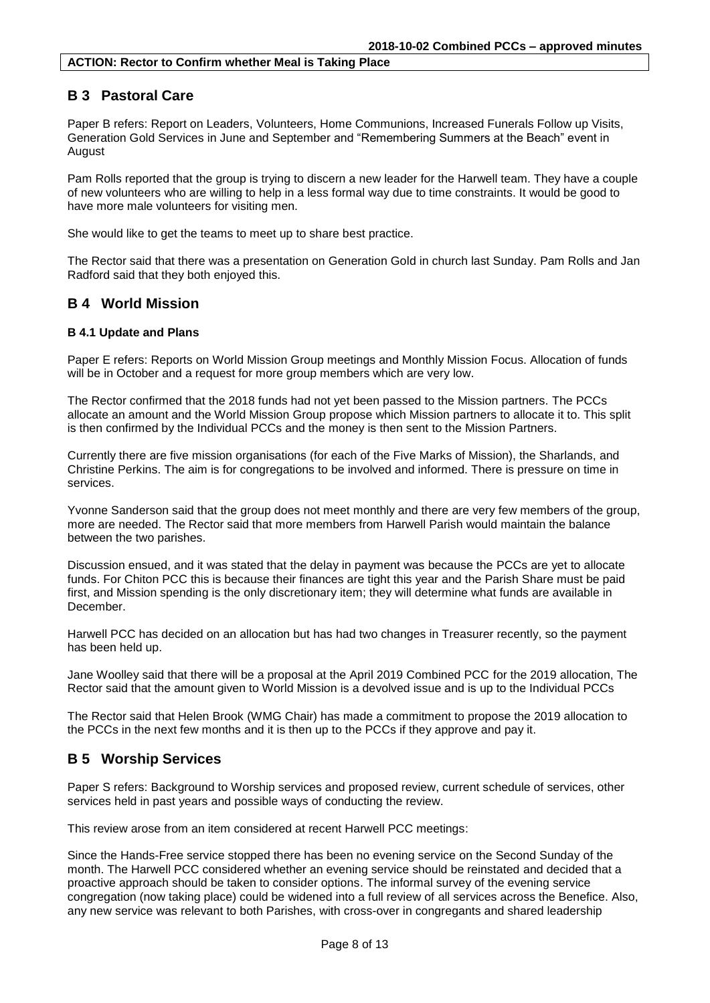## **B 3 Pastoral Care**

Paper B refers: Report on Leaders, Volunteers, Home Communions, Increased Funerals Follow up Visits, Generation Gold Services in June and September and "Remembering Summers at the Beach" event in **August** 

Pam Rolls reported that the group is trying to discern a new leader for the Harwell team. They have a couple of new volunteers who are willing to help in a less formal way due to time constraints. It would be good to have more male volunteers for visiting men.

She would like to get the teams to meet up to share best practice.

The Rector said that there was a presentation on Generation Gold in church last Sunday. Pam Rolls and Jan Radford said that they both enjoyed this.

## **B 4 World Mission**

#### **B 4.1 Update and Plans**

Paper E refers: Reports on World Mission Group meetings and Monthly Mission Focus. Allocation of funds will be in October and a request for more group members which are very low.

The Rector confirmed that the 2018 funds had not yet been passed to the Mission partners. The PCCs allocate an amount and the World Mission Group propose which Mission partners to allocate it to. This split is then confirmed by the Individual PCCs and the money is then sent to the Mission Partners.

Currently there are five mission organisations (for each of the Five Marks of Mission), the Sharlands, and Christine Perkins. The aim is for congregations to be involved and informed. There is pressure on time in services.

Yvonne Sanderson said that the group does not meet monthly and there are very few members of the group, more are needed. The Rector said that more members from Harwell Parish would maintain the balance between the two parishes.

Discussion ensued, and it was stated that the delay in payment was because the PCCs are yet to allocate funds. For Chiton PCC this is because their finances are tight this year and the Parish Share must be paid first, and Mission spending is the only discretionary item; they will determine what funds are available in **December** 

Harwell PCC has decided on an allocation but has had two changes in Treasurer recently, so the payment has been held up.

Jane Woolley said that there will be a proposal at the April 2019 Combined PCC for the 2019 allocation, The Rector said that the amount given to World Mission is a devolved issue and is up to the Individual PCCs

The Rector said that Helen Brook (WMG Chair) has made a commitment to propose the 2019 allocation to the PCCs in the next few months and it is then up to the PCCs if they approve and pay it.

## **B 5 Worship Services**

Paper S refers: Background to Worship services and proposed review, current schedule of services, other services held in past years and possible ways of conducting the review.

This review arose from an item considered at recent Harwell PCC meetings:

Since the Hands-Free service stopped there has been no evening service on the Second Sunday of the month. The Harwell PCC considered whether an evening service should be reinstated and decided that a proactive approach should be taken to consider options. The informal survey of the evening service congregation (now taking place) could be widened into a full review of all services across the Benefice. Also, any new service was relevant to both Parishes, with cross-over in congregants and shared leadership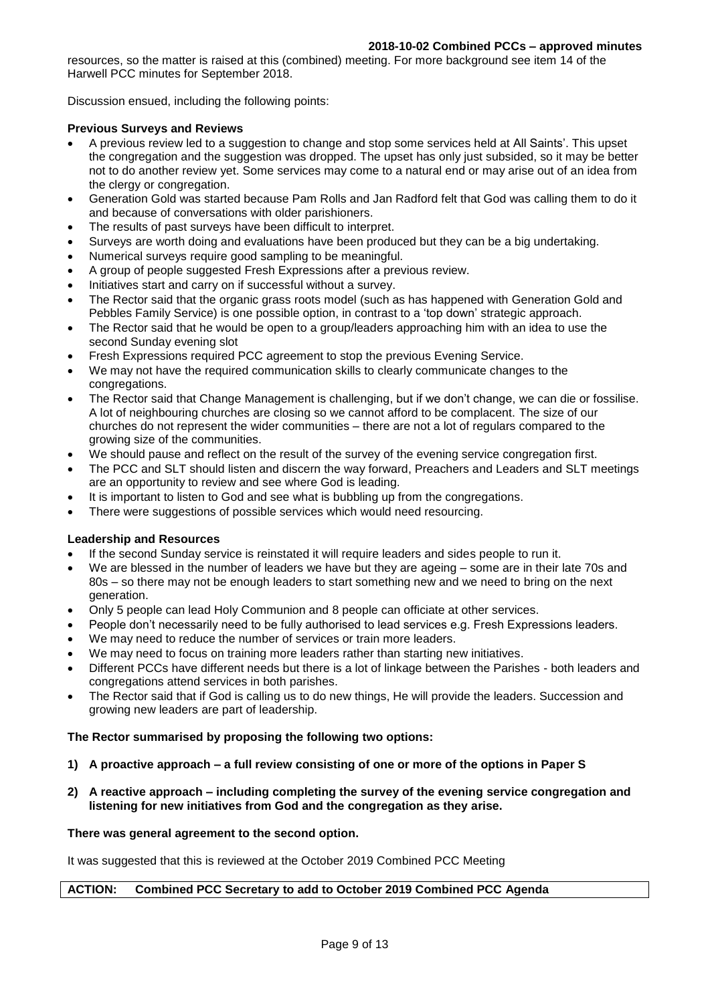resources, so the matter is raised at this (combined) meeting. For more background see item 14 of the Harwell PCC minutes for September 2018.

Discussion ensued, including the following points:

### **Previous Surveys and Reviews**

- A previous review led to a suggestion to change and stop some services held at All Saints'. This upset the congregation and the suggestion was dropped. The upset has only just subsided, so it may be better not to do another review yet. Some services may come to a natural end or may arise out of an idea from the clergy or congregation.
- Generation Gold was started because Pam Rolls and Jan Radford felt that God was calling them to do it and because of conversations with older parishioners.
- The results of past surveys have been difficult to interpret.
- Surveys are worth doing and evaluations have been produced but they can be a big undertaking.
- Numerical surveys require good sampling to be meaningful.
- A group of people suggested Fresh Expressions after a previous review.
- Initiatives start and carry on if successful without a survey.
- The Rector said that the organic grass roots model (such as has happened with Generation Gold and Pebbles Family Service) is one possible option, in contrast to a 'top down' strategic approach.
- The Rector said that he would be open to a group/leaders approaching him with an idea to use the second Sunday evening slot
- Fresh Expressions required PCC agreement to stop the previous Evening Service.
- We may not have the required communication skills to clearly communicate changes to the congregations.
- The Rector said that Change Management is challenging, but if we don't change, we can die or fossilise. A lot of neighbouring churches are closing so we cannot afford to be complacent. The size of our churches do not represent the wider communities – there are not a lot of regulars compared to the growing size of the communities.
- We should pause and reflect on the result of the survey of the evening service congregation first.
- The PCC and SLT should listen and discern the way forward, Preachers and Leaders and SLT meetings are an opportunity to review and see where God is leading.
- It is important to listen to God and see what is bubbling up from the congregations.
- There were suggestions of possible services which would need resourcing.

## **Leadership and Resources**

- If the second Sunday service is reinstated it will require leaders and sides people to run it.
- We are blessed in the number of leaders we have but they are ageing some are in their late 70s and 80s – so there may not be enough leaders to start something new and we need to bring on the next generation.
- Only 5 people can lead Holy Communion and 8 people can officiate at other services.
- People don't necessarily need to be fully authorised to lead services e.g. Fresh Expressions leaders.
- We may need to reduce the number of services or train more leaders.
- We may need to focus on training more leaders rather than starting new initiatives.
- Different PCCs have different needs but there is a lot of linkage between the Parishes both leaders and congregations attend services in both parishes.
- The Rector said that if God is calling us to do new things, He will provide the leaders. Succession and growing new leaders are part of leadership.

## **The Rector summarised by proposing the following two options:**

- **1) A proactive approach – a full review consisting of one or more of the options in Paper S**
- **2) A reactive approach – including completing the survey of the evening service congregation and listening for new initiatives from God and the congregation as they arise.**

#### **There was general agreement to the second option.**

It was suggested that this is reviewed at the October 2019 Combined PCC Meeting

#### **ACTION: Combined PCC Secretary to add to October 2019 Combined PCC Agenda**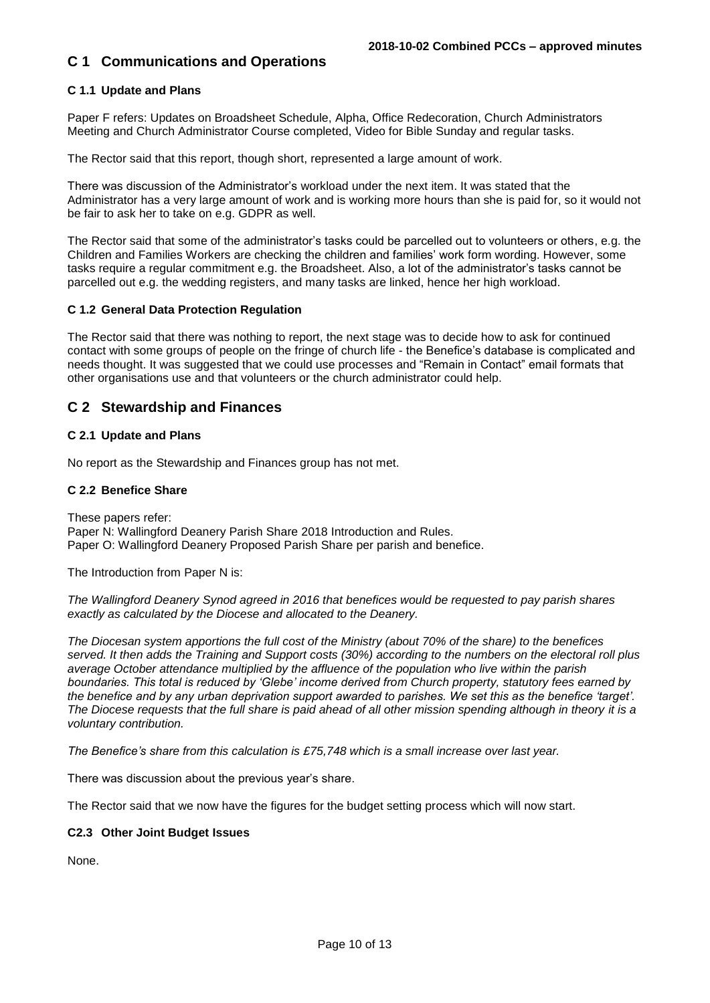## **C 1 Communications and Operations**

## **C 1.1 Update and Plans**

Paper F refers: Updates on Broadsheet Schedule, Alpha, Office Redecoration, Church Administrators Meeting and Church Administrator Course completed, Video for Bible Sunday and regular tasks.

The Rector said that this report, though short, represented a large amount of work.

There was discussion of the Administrator's workload under the next item. It was stated that the Administrator has a very large amount of work and is working more hours than she is paid for, so it would not be fair to ask her to take on e.g. GDPR as well.

The Rector said that some of the administrator's tasks could be parcelled out to volunteers or others, e.g. the Children and Families Workers are checking the children and families' work form wording. However, some tasks require a regular commitment e.g. the Broadsheet. Also, a lot of the administrator's tasks cannot be parcelled out e.g. the wedding registers, and many tasks are linked, hence her high workload.

## **C 1.2 General Data Protection Regulation**

The Rector said that there was nothing to report, the next stage was to decide how to ask for continued contact with some groups of people on the fringe of church life - the Benefice's database is complicated and needs thought. It was suggested that we could use processes and "Remain in Contact" email formats that other organisations use and that volunteers or the church administrator could help.

## **C 2 Stewardship and Finances**

## **C 2.1 Update and Plans**

No report as the Stewardship and Finances group has not met.

## **C 2.2 Benefice Share**

These papers refer: Paper N: Wallingford Deanery Parish Share 2018 Introduction and Rules. Paper O: Wallingford Deanery Proposed Parish Share per parish and benefice.

The Introduction from Paper N is:

*The Wallingford Deanery Synod agreed in 2016 that benefices would be requested to pay parish shares exactly as calculated by the Diocese and allocated to the Deanery.* 

*The Diocesan system apportions the full cost of the Ministry (about 70% of the share) to the benefices served. It then adds the Training and Support costs (30%) according to the numbers on the electoral roll plus average October attendance multiplied by the affluence of the population who live within the parish boundaries. This total is reduced by 'Glebe' income derived from Church property, statutory fees earned by the benefice and by any urban deprivation support awarded to parishes. We set this as the benefice 'target'. The Diocese requests that the full share is paid ahead of all other mission spending although in theory it is a voluntary contribution.*

*The Benefice's share from this calculation is £75,748 which is a small increase over last year.*

There was discussion about the previous year's share.

The Rector said that we now have the figures for the budget setting process which will now start.

## **C2.3 Other Joint Budget Issues**

None.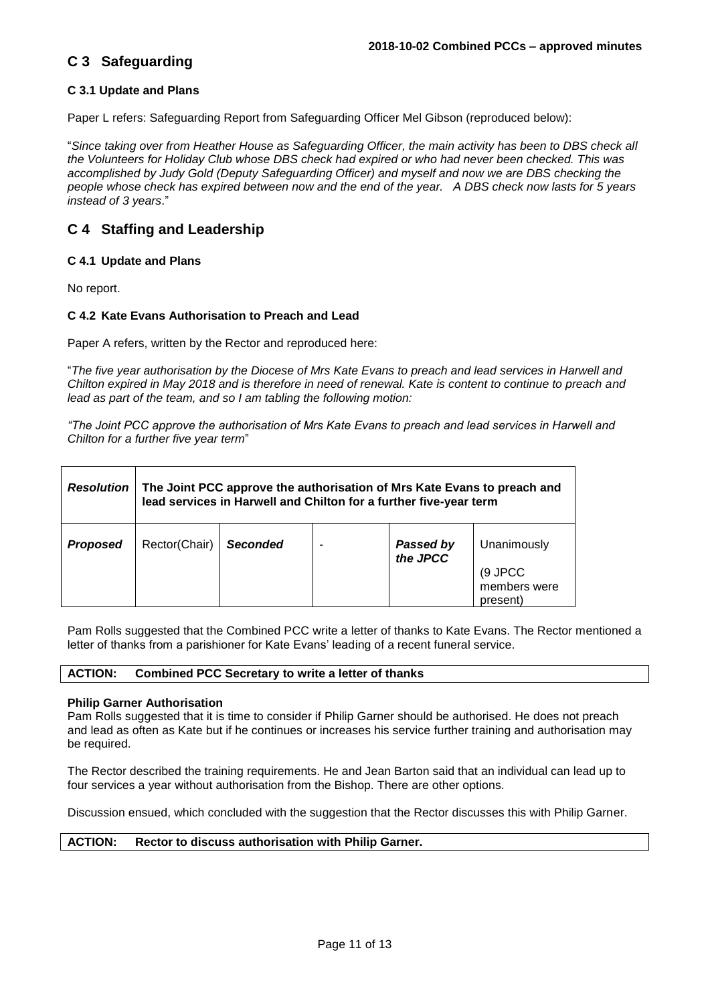## **C 3 Safeguarding**

## **C 3.1 Update and Plans**

Paper L refers: Safeguarding Report from Safeguarding Officer Mel Gibson (reproduced below):

"*Since taking over from Heather House as Safeguarding Officer, the main activity has been to DBS check all the Volunteers for Holiday Club whose DBS check had expired or who had never been checked. This was accomplished by Judy Gold (Deputy Safeguarding Officer) and myself and now we are DBS checking the people whose check has expired between now and the end of the year. A DBS check now lasts for 5 years instead of 3 years*."

## **C 4 Staffing and Leadership**

#### **C 4.1 Update and Plans**

No report.

#### **C 4.2 Kate Evans Authorisation to Preach and Lead**

Paper A refers, written by the Rector and reproduced here:

"*The five year authorisation by the Diocese of Mrs Kate Evans to preach and lead services in Harwell and Chilton expired in May 2018 and is therefore in need of renewal. Kate is content to continue to preach and lead as part of the team, and so I am tabling the following motion:* 

*"The Joint PCC approve the authorisation of Mrs Kate Evans to preach and lead services in Harwell and Chilton for a further five year term*"

| <b>Resolution</b> | The Joint PCC approve the authorisation of Mrs Kate Evans to preach and<br>lead services in Harwell and Chilton for a further five-year term |                 |  |                              |                                                    |  |  |
|-------------------|----------------------------------------------------------------------------------------------------------------------------------------------|-----------------|--|------------------------------|----------------------------------------------------|--|--|
| <b>Proposed</b>   | Rector(Chair)                                                                                                                                | <b>Seconded</b> |  | <b>Passed by</b><br>the JPCC | Unanimously<br>(9 JPCC<br>members were<br>present) |  |  |

Pam Rolls suggested that the Combined PCC write a letter of thanks to Kate Evans. The Rector mentioned a letter of thanks from a parishioner for Kate Evans' leading of a recent funeral service.

### **ACTION: Combined PCC Secretary to write a letter of thanks**

#### **Philip Garner Authorisation**

Pam Rolls suggested that it is time to consider if Philip Garner should be authorised. He does not preach and lead as often as Kate but if he continues or increases his service further training and authorisation may be required.

The Rector described the training requirements. He and Jean Barton said that an individual can lead up to four services a year without authorisation from the Bishop. There are other options.

Discussion ensued, which concluded with the suggestion that the Rector discusses this with Philip Garner.

#### **ACTION: Rector to discuss authorisation with Philip Garner.**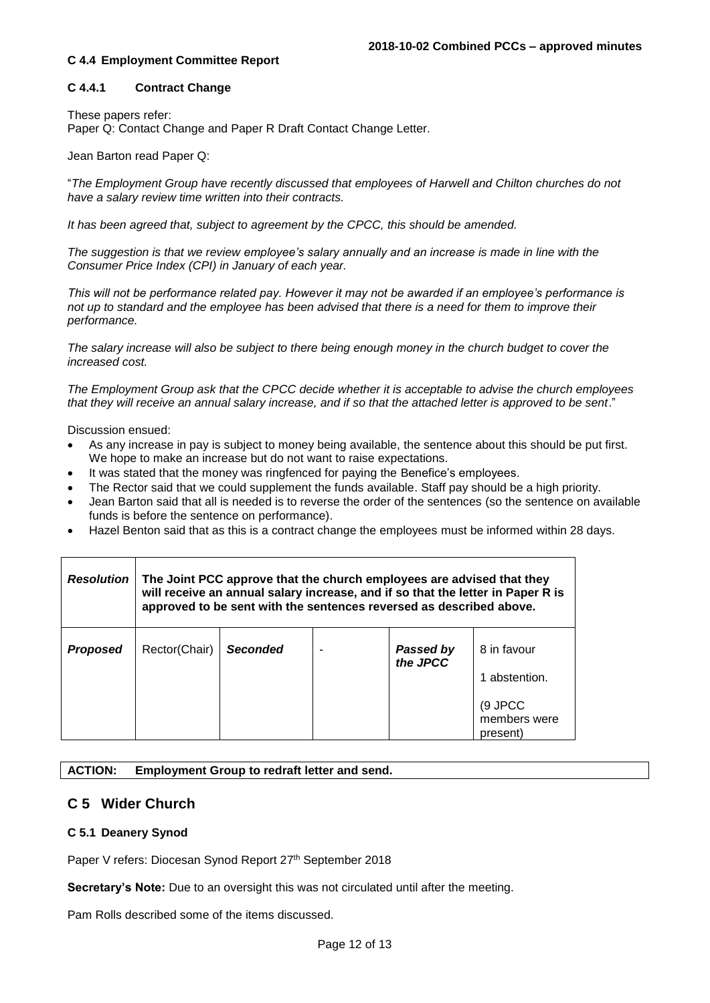### **C 4.4 Employment Committee Report**

## **C 4.4.1 Contract Change**

These papers refer:

Paper Q: Contact Change and Paper R Draft Contact Change Letter.

Jean Barton read Paper Q:

"*The Employment Group have recently discussed that employees of Harwell and Chilton churches do not have a salary review time written into their contracts.* 

*It has been agreed that, subject to agreement by the CPCC, this should be amended.* 

*The suggestion is that we review employee's salary annually and an increase is made in line with the Consumer Price Index (CPI) in January of each year.* 

*This will not be performance related pay. However it may not be awarded if an employee's performance is not up to standard and the employee has been advised that there is a need for them to improve their performance.* 

*The salary increase will also be subject to there being enough money in the church budget to cover the increased cost.* 

*The Employment Group ask that the CPCC decide whether it is acceptable to advise the church employees that they will receive an annual salary increase, and if so that the attached letter is approved to be sent*."

Discussion ensued:

- As any increase in pay is subject to money being available, the sentence about this should be put first. We hope to make an increase but do not want to raise expectations.
- It was stated that the money was ringfenced for paying the Benefice's employees.
- The Rector said that we could supplement the funds available. Staff pay should be a high priority.
- Jean Barton said that all is needed is to reverse the order of the sentences (so the sentence on available funds is before the sentence on performance).
- Hazel Benton said that as this is a contract change the employees must be informed within 28 days.

| <b>Resolution</b> | The Joint PCC approve that the church employees are advised that they<br>will receive an annual salary increase, and if so that the letter in Paper R is<br>approved to be sent with the sentences reversed as described above. |                 |  |                       |                                                                     |  |  |
|-------------------|---------------------------------------------------------------------------------------------------------------------------------------------------------------------------------------------------------------------------------|-----------------|--|-----------------------|---------------------------------------------------------------------|--|--|
| <b>Proposed</b>   | Rector(Chair)                                                                                                                                                                                                                   | <b>Seconded</b> |  | Passed by<br>the JPCC | 8 in favour<br>1 abstention.<br>(9 JPCC<br>members were<br>present) |  |  |

**ACTION: Employment Group to redraft letter and send.**

## **C 5 Wider Church**

#### **C 5.1 Deanery Synod**

Paper V refers: Diocesan Synod Report 27<sup>th</sup> September 2018

**Secretary's Note:** Due to an oversight this was not circulated until after the meeting.

Pam Rolls described some of the items discussed.